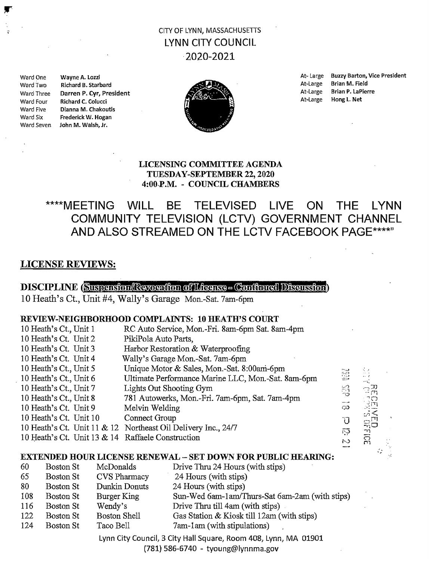CITY OF LYNN, MASSACHUSETIS LYNN CITY COUNCIL ·2020-2021

Ward Three Darren P. Cyr, President and the state of the Cyr, President and Three Brian P. LaPit At-Large Brian P. LaPit At-Large Brian P. LaPit At-Large Brian P. LaPit At-Large Brian P. LaPit At-Large Hong L. Net Ward Four Richard C. Colucci<br>Ward Five Dianna M. Chakou Ward Five Dianna M. Chakoutis<br>Ward Six Frederick W. Hogan Frederick W. Hogan Ward Seven John M. Walsh, Jr.



Ward One Wayne A. Lozzi **Wayne A. Lozzi Show Community Community** At- Large Buzzy Barton, Vice President Ward Two Richard B. Starbard Ward Community Community At Large Brian M. Field Richard B. Starbard **Two Richard At-Large Brian M. Field** At-Large Brian M. Field At-Large Brian M. Field At-Large Brian P. LaPierre

in

-..'

## LICENSING COMMITTEE AGENDA TUESDAY-SEPTEMBER 22, 2020 4:00 P.M. - COUNCIL CHAMBERS

# \*\*\*\*MEETING WILL BE TELEVISED LIVE ON THE LYNN COMMUNITY TELEVISION (LCTV) GOVERNMENT CHANNEL AND ALSO STREAMED ON THE LCTV FACEBOOK PAGE\*\*\*\*"

## LICENSE REVIEWS:

## DISCIPLINE (Suspension/Revocation of License - Continued Discussion)

10 Heath's Ct., Unit #4, Wally's Garage Mon.-Sat. 7am-6pm

### REVIEW-NEIGHBORHOOD COMPLAINTS: 10 HEATH'S COURT

| 10 Heath's Ct., Unit 1      | RC Auto Service, Mon.-Fri. 8am-6pm Sat. 8am-4pm               |             |                            |
|-----------------------------|---------------------------------------------------------------|-------------|----------------------------|
| 10 Heath's Ct. Unit 2       | PikiPola Auto Parts,                                          |             |                            |
| 10 Heath's Ct. Unit 3       | Harbor Restoration & Waterproofing                            |             |                            |
| 10 Heath's Ct. Unit 4       | Wally's Garage Mon.-Sat. 7am-6pm                              |             |                            |
| 10 Heath's Ct., Unit 5      | Unique Motor & Sales, Mon.-Sat. 8:00am-6pm                    |             | 송년                         |
| 10 Heath's Ct., Unit 6      | Ultimate Performance Marine LLC, Mon.-Sat. 8am-6pm            | tion<br>Sid | $\cdots$<br>$\sim 10^{-7}$ |
| 10 Heath's Ct., Unit 7      | Lights Out Shooting Gym                                       | 읇           | ្នុង                       |
| 10 Heath's Ct., Unit 8      | 781 Autowerks, Mon.-Fri. 7am-6pm, Sat. 7am-4pm                | nes un      |                            |
| 10 Heath's Ct. Unit 9       | Melvin Welding                                                | သ           |                            |
| 10 Heath's Ct. Unit 10      | Connect Group                                                 | IJ          | ಚ<                         |
|                             | 10 Heath's Ct. Unit 11 & 12 Northeast Oil Delivery Inc., 24/7 | ៊ុរី        |                            |
| 10 Heath's Ct. Unit 13 & 14 | Raffaele Construction                                         | N           | <b>EDRETCE</b>             |
|                             |                                                               |             |                            |

### EXTENDED HOUR LICENSE RENEWAL - SET DOWN FOR PUBLIC HEARING:

| 60  | Boston St | McDonalds           | Drive Thru 24 Hours (with stips)               |
|-----|-----------|---------------------|------------------------------------------------|
| 65  | Boston St | CVS Pharmacy        | 24 Hours (with stips)                          |
| 80  | Boston St | Dunkin Donuts       | 24 Hours (with stips)                          |
| 108 | Boston St | Burger King         | Sun-Wed 6am-1am/Thurs-Sat 6am-2am (with stips) |
| 116 | Boston St | Wendy's             | Drive Thru till 4am (with stips)               |
| 122 | Boston St | <b>Boston Shell</b> | Gas Station & Kiosk till 12am (with stips)     |
| 124 | Boston St | Taco Bell           | 7am-1am (with stipulations)                    |

Lynn City Council, 3 City Hall Square, Room 408, Lynn, MA 01901

(781) 586-6740 - tyoung@lynnma.gov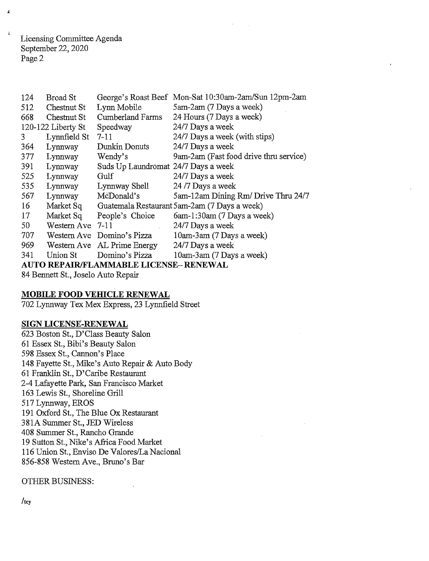Licensing Committee Agenda September 22, 2020 Page 2

Ã

 $\widehat{\bullet}$ 

| 124                                   | <b>Broad St</b>    |                                     | George's Roast Beef Mon-Sat 10:30am-2am/Sun 12pm-2am |  |
|---------------------------------------|--------------------|-------------------------------------|------------------------------------------------------|--|
| 512                                   | Chestnut St        | Lynn Mobile                         | 5am-2am (7 Days a week)                              |  |
| 668                                   | Chestnut St        | Cumberland Farms                    | 24 Hours (7 Days a week)                             |  |
|                                       | 120-122 Liberty St | Speedway                            | 24/7 Days a week                                     |  |
| 3                                     | Lynnfield St       | $7 - 11$                            | 24/7 Days a week (with stips)                        |  |
| 364                                   | Lynnway            | Dunkin Donuts                       | 24/7 Days a week                                     |  |
| 377                                   | Lynnway            | Wendy's                             | 9am-2am (Fast food drive thru service)               |  |
| 391                                   | Lynnway            | Suds Up Laundromat 24/7 Days a week |                                                      |  |
| 525                                   | Lynnway            | Gulf                                | 24/7 Days a week                                     |  |
| 535                                   | Lynnway            | Lynnway Shell                       | 24 /7 Days a week                                    |  |
| 567                                   | Lynnway            | McDonald's                          | 5am-12am Dining Rm/ Drive Thru 24/7                  |  |
| 16                                    | Market Sq          |                                     | Guatemala Restaurant 5am-2am (7 Days a week)         |  |
| 17                                    | Market Sq          | People's Choice                     | 6am-1:30am (7 Days a week)                           |  |
| 50                                    | Western Ave        | $7 - 11$                            | 24/7 Days a week                                     |  |
| 707                                   |                    | Western Ave Domino's Pizza          | 10am-3am (7 Days a week)                             |  |
| 969                                   |                    | Western Ave AL Prime Energy         | 24/7 Days a week                                     |  |
| 341                                   | Union St           | Domino's Pizza                      | 10am-3am (7 Days a week)                             |  |
| AUTO REPAIR/FLAMMABLE LICENSE-RENEWAL |                    |                                     |                                                      |  |

84 Bennett St., Joselo Auto Repair

#### **MOBILE FOOD VEmCLE RENEWAL**

702 Lynnway Tex Mex Express, 23 Lynnfield Street

## **SIGN LICENSE'-RENEWAL**

623 Boston St., D'Class Beauty Salon 61 Essex St., Bibi's Beauty Salon 598 Essex St., Cannon's Place 148 Fayette St., Mike's Auto Repair & Auto Body 61 Franklin St., D'Caribe Restaurant 2-4 Lafayette Park, San Francisco Market 163 Lewis St., Shoreline Grill 517 Lynnway, EROS 191 Oxford St., The Blue Ox Restaurant 381A Summer St., JED Wireless 408 Summer St., Rancho Grande 19 Sutton St., Nike's Africa Food Market 116 Union St., Enviso De Valores/La Nacional 856-858 Western Ave., Bruno's Bar

OTHER BUSINESS:

#### Itey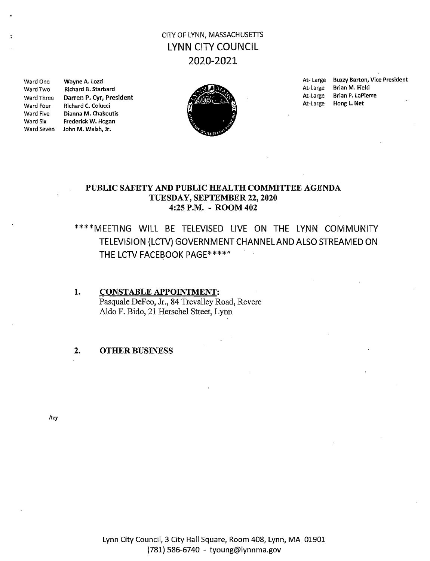# CITY OF LYNN, MASSACHUSETTS LYNN CITY COUNCIL 2020-2021

Ward Two Richard B. Starbard **At-Large Brian M. Field** At-Large Brian M. Field At-Large Brian M. Field At-Large Brian P. LaPierre Ward Three Darren P. Cyr, President and Change Brian P. LaPin Material P. LaPin P. LaPin P. LaPin P. LaPin P. LaPin P. LaPin P. LaPin P. LaPin P. LaPin P. LaPin P. LaPin P. LaPin P. LaPin P. LaPin P. LaPin P. LaPin P. LaPi Ward Four Richard C. Colucci<br>Ward Five Dianna M. Chakou Dianna M. Chakoutis Ward Six Frederick W. Hogan Ward Seven John M. Walsh, Jr.



Ward One Wayne A. Lozzi **Ward One** Wayne A. Lozzi **Atime At- Large Buzzy Barton, Vice President** At- Large Buzzy Barton, Vice President Control of the Material of the Materia of the Materia of the Materia of the Materia of

### PUBLIC SAFETY AND PUBLIC HEALTH COMMITTEE AGENDA TUESDAY, SEPTEMBER 22,2020 4:25 P.M. - ROOM 402

# \*\*\*\*MEETING WILL BE TELEVISED LIVE ON THE LYNN COMMUNITY TELEVISION (LCTV) GOVERNMENT CHANNELAND ALSO STREAMED ON THE LCTV FACEBOOK PAGE\*\*\*\*"

1. CONSTABLE APPOINTMENT: Pasquale DeFeo, Jr., 84 Trevalley Road, Revere Aldo F. Bido, 21 Herschel Street, Lynn

#### 2. OTHER BUSINESS

*Itey*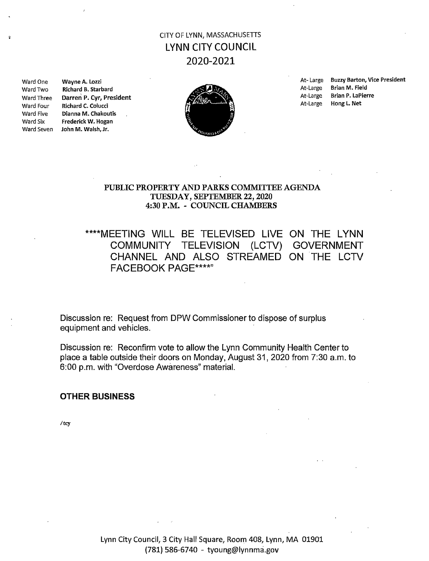# CITY OF LYNN, MASSACHUSETIS LYNN CITY COUNCIL 2020-2021

Ward Two Richard B. Starbard At-Large Brian M. Field At-Large Brian M. Field At-Large Brian M. Field At-Large Brian M. Field Ward Three Darren P. Cyr, President Market At-Large Brian P. LaPin Market At-Large Brian P. LaPin Market At-Large Brian P. LaPin Market At-Large Hong L. Net Richard C. Colucci Ward Five Dianna M. Chakoutis Ward Six Frederick W. Hogan Ward Seven John M. Walsh, Jr.



Ward One Wayne A. Lozzi **Ward One Wayne A. Lozzi Large Buzzy Barton, Vice President** Mart Large Buzzy Barton, Vice President Lozzi At- Large Buzzy Barton, Vice President Lozzi At- Large Brian M. Field

### PUBLIC PROPERTY AND PARKS COMMITTEE AGENDA TUESDAY, SEPTEMBER 22, 2020 4:30 P.M. - COUNCIL CHAMBERS

# \*\*\*\*MEETING WILL BE TELEVISED LIVE ON THE LYNN COMMUNITY TELEVISION (LCTV) GOVERNMENT CHANNEL AND ALSO STREAMED ON THE LCTV FACEBOOK PAGE\*\*\*\*"

Discussion re: Request from DPW Commissioner to dispose of surplus equipment and vehicles.

Discussion re: Reconfirm vote to allow the Lynn Community Health Center to place a table outside their doors on Monday, August 31, 2020 from 7:30 a.m. to 6:00 p.m. with "Overdose Awareness" material.

#### OTHER BUSINESS

*Itcy*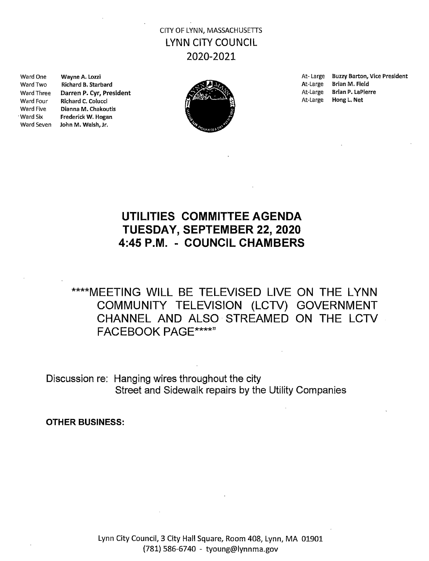# CITY OF LYNN, MASSACHUSETTS LYNN CITY COUNCIL 2020-2021

Ward Three Darren P. Cyr, President At-Large Brian P. LaPin March 2014 At-Large Brian P. LaPin March 2014 At-Large Brian P. LaPin March 2014 At-Large Hong L. Net Ward Four Richard C. Colucci<br>Ward Five Dianna M. Chakou Ward Five Dianna M. Chakoutis<br>Ward Six Frederick W. Hogan Frederick W. Hogan Ward Seven John M. Walsh, Jr.



Ward One Wayne A. LOlli At- Large BUlZY Barton, Vice President Richard B. Starbard **M. Field** At-Large Brian M. Field At-Large Brian M. Field At-Large Brian M. Field At-Large Brian M. Field At-Large Brian P. LaPierre

# **UTILITIES COMMITTEE AGENDA TUESDAY, SEPTEMBER** 22, **2020**  4:45 P.M. **- COUNCIL CHAMBERS**

\*\*\*\*MEETING WILL BE TELEVISED LIVE ON THE LYNN COMMUNITY TELEVISION (LCTV) GOVERNMENT CHANNEL AND ALSO' STREAMED ON THE LCTV FACEBOOK PAGE\*\*\*\*"

Discussion re: Hanging wires throughout the city Street and Sidewalk repairs by the Utility Companies

OTHER BUSINESS: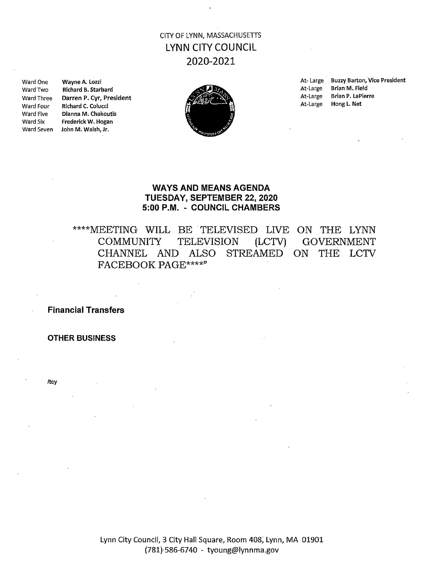# CITY OF LYNN, MASSACHUSETTS LYNN CITY COUNCIL 2020-2021

Ward One Ward Two Ward Three Ward Four Ward Five Ward Six Ward Seven

Wayne A. Lozzi Richard B. Starbard Darren P. Cyr, President Richard C. Colucci Dianna M. Chakoutis Frederick W. Hogan John M. Walsh, Jr.



At- Large At-Large At-Large At-Large Buzzy Barton,'Vice President Brian M. Field Brian P. LaPierre Hong L. Net

### WAYS AND MEANS AGENDA TUESDAY, SEPTEMBER 22, 2020 5:00 P.M. - COLINCIL CHAMBERS

\*\*\*\*MEETING WILL BE 'TELEVISED LNE ON THE LYNN COMMUNITY TELEVISION (LCTV) CHANNEL AND ALSO STREAMED FACEBOOK PAGE\*\*\*\*" GOVERNMENT ON THE LCTV

Financial Transfers

OTHER BUSINESS

**Itcy** 

Lynn City Council, 3 City Hall Square, Room 408; Lynn, MA 01901 (781)-586-6740 - tyoung@lynnma.gov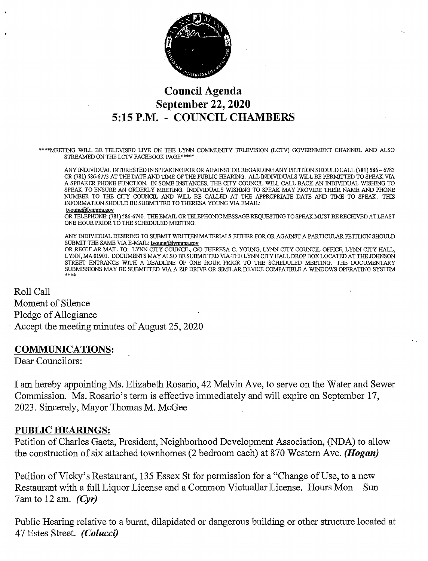

# **Council Agenda September 22, 2020 5:15 P.M. - COUNCIL CHAMBERS**

\*\*\*\*MEETING WilL BE TELEVISED LIVE ON THE LYNN COMMUNITY TELEVISION (LCTV) GOVERNMENT CHANNEL AND ALSO STREAMED ON THE LCTV FACEBOOK PAGE\*\*\*\*"

ANY INDIVIDUAL INTERESTED IN SPEAKING FOR OR AGAINST OR REGARDING ANY PETITION SHOULD CALL (781) 586 - 6783 OR (781) 586-6773 AT THE DATE AND TIME OF THE PUBLIC HEARING. ALL INDIVIDUALS WILL BE PERMITTED TO SPEAK VIA A SPEAKER PHONE FUNCTION. IN SOME INSTANCES, THE CITY COUNCIL WILL CALL BACK AN INDIVIDUAL WISHING TO SPEAK TO ENSURE AN ORDERLY MEETING. INDIVIDUALS WISHING TO SPEAK MAY PROVIDE THEIR NAME AND PHONE NUMBER TO THE CITY COUNCIL AND WILL BE CALLED AT THE APPROPRIATE DATE AND TIME TO SPEAK. THIS INFORMATION SHOULD BE SUBMITTED TO THERESA YOUNG VIA EMAIL:

**tvoung@\vnnma.gov** 

OR TELEPHONE: (781) 586-6740. THE EMAIL OR TELEPHONIC MESSAGE REQUESTING TO SPEAK MUST BE RECEIVED AT LEAST ONE HOUR PRIOR TO THE SCHEDULED MEETING.

ANY INDIVIDUAL DESIRING TO SUBMIT WRITTEN MATERIALS EITHER FOR OR AGAINST A PARTICULAR PETITION SHOULD SUBMIT THE SAME VIA E-MAIL: **tvoung@lynnma.gov** 

OR REGULAR MAIL TO: LYNN CITY COUNCIL, C/O THERESA C. YOUNG, LYNN CITY COUNCIL OFFICE, LYNN CITY HALL, LYNN, MA 01901. DOCUMENTS MAY ALSO BE SUBMITTED VIA-THE LYNN CITY HALL DROP BOX LOCATED AT THE JOHNSON STREET ENTRANCE WITH A DEADLINE OF ONE HOUR PRIOR TO THE SCHEDULED MEETING. THE DOCUMENTARY SUBMISSIONS MAY BE SUBMITTED VIA A ZIP DRIVE OR SIMILAR DEVICE COMPATIBLE A WINDOWS OPERATING SYSTEM **\*\*\*\*** 

**Roll Call Moment of Silence Pledge of Allegiance Accept the meeting minutes of August 25, 2020** 

## **COMJVIUNICATIONS:**

**Dear Councilors:** 

I **am hereby appointing Ms. Elizabeth Rosario, 42 Melvin Ave, to serve on the Water and Sewer Commission. Ms. Rosario's term is effective immediately and will expire on September 17, 2023. Sincerely, Mayor Thomas M. McGee** 

## **PUBLIC HEARINGS:**

**Petition** of Charles **Gaeta, President, Neighborhood Development Association, (NDA) to allow the construction** of six **attached townhomes (2 bedroom each) at 870 Western Ave.** *(Hogan)* 

Petition of Vicky's Restaurant, 135 Essex St for permission for a "Change of Use, to a new **Restaurant with a full Liquor License and a Common Victuallar License. Hours Mon - Sun 7am to 12 am.** *(Cyr)* 

**Public Hearing relative to a burnt, dilapidated or dangerous building or other structure located at 47 Estes Street.** *(Colucci)*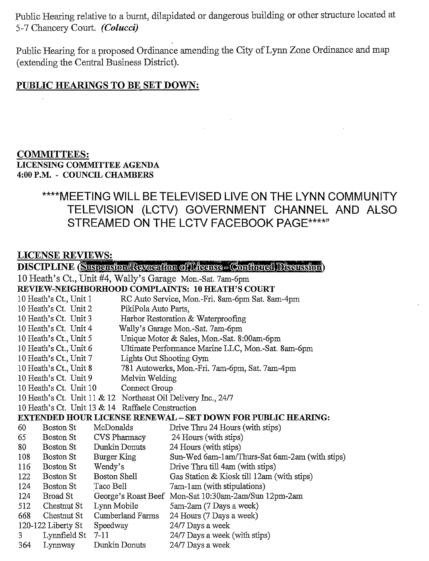Public Hearing relative to a burnt, dilapidated or dangerous building or other structure located at 5-7 Chancery Court. *(Colucci)* 

, Public Hearing for a proposed Ordinance amending the City of Lynn Zone Ordinance and map (extending the Central Business District).

## PUBLIC HEARINGS TO BE SET DOWN:

## COMMITTEES: LICENSING COMMITTEE AGENDA 4:00 P.M. - COUNCIL CHAMBERS

# \*\*\*\*MEETING WILL BE TELEVISED LIVE ON THE LYNN COMMUNITY TELEVISION (LCTV) GOVERNMENT CHANNEL AND ALSO STREAMED ON THE LCTV FACEBOOK PAGE\*\*\*\*"

## LICENSE REVIEWS:

|                    |                                                           |                                                               | DISCIPLINE (Suspension/Revoertion of License = Continued Discussion |  |  |
|--------------------|-----------------------------------------------------------|---------------------------------------------------------------|---------------------------------------------------------------------|--|--|
|                    | 10 Heath's Ct., Unit #4, Wally's Garage Mon.-Sat. 7am-6pm |                                                               |                                                                     |  |  |
|                    |                                                           |                                                               | <b>REVIEW-NEIGHBORHOOD COMPLAINTS: 10 HEATH'S COURT</b>             |  |  |
|                    | 10 Heath's Ct., Unit 1                                    |                                                               | RC Auto Service, Mon.-Fri. 8am-6pm Sat. 8am-4pm                     |  |  |
|                    | 10 Heath's Ct. Unit 2                                     |                                                               | PikiPola Auto Parts,                                                |  |  |
|                    | 10 Heath's Ct. Unit 3                                     |                                                               | Harbor Restoration & Waterproofing                                  |  |  |
|                    | 10 Heath's Ct. Unit 4                                     |                                                               | Wally's Garage Mon.-Sat. 7am-6pm                                    |  |  |
|                    | 10 Heath's Ct., Unit 5                                    |                                                               | Unique Motor & Sales, Mon.-Sat. 8:00am-6pm                          |  |  |
|                    | 10 Heath's Ct., Unit 6                                    |                                                               | Ultimate Performance Marine LLC, Mon.-Sat. 8am-6pm                  |  |  |
|                    | 10 Heath's Ct., Unit 7                                    | Lights Out Shooting Gym                                       |                                                                     |  |  |
|                    | 10 Heath's Ct., Unit 8                                    |                                                               | 781 Autowerks, Mon.-Fri. 7am-6pm, Sat. 7am-4pm                      |  |  |
|                    | 10 Heath's Ct. Unit 9                                     | Melvin Welding                                                |                                                                     |  |  |
|                    | 10 Heath's Ct. Unit 10                                    | Connect Group                                                 |                                                                     |  |  |
|                    |                                                           | 10 Heath's Ct. Unit 11 & 12 Northeast Oil Delivery Inc., 24/7 |                                                                     |  |  |
|                    |                                                           | 10 Heath's Ct. Unit 13 & 14 Raffaele Construction             |                                                                     |  |  |
|                    |                                                           |                                                               | <b>EXTENDED HOUR LICENSE RENEWAL - SET DOWN FOR PUBLIC HEARING:</b> |  |  |
| 60                 | <b>Boston St</b>                                          | McDonalds                                                     | Drive Thru 24 Hours (with stips)                                    |  |  |
| 65                 | Boston St                                                 | CVS Pharmacy                                                  | 24 Hours (with stips)                                               |  |  |
| 80                 | <b>Boston St</b>                                          | Dunkin Donuts                                                 | 24 Hours (with stips)                                               |  |  |
| 108                | <b>Boston St</b>                                          | Burger King                                                   | Sun-Wed 6am-1am/Thurs-Sat 6am-2am (with stips)                      |  |  |
| 116                | Boston St                                                 | Wendy's                                                       | Drive Thru till 4am (with stips)                                    |  |  |
| 122                | Boston St                                                 | <b>Boston Shell</b>                                           | Gas Station & Kiosk till 12am (with stips)                          |  |  |
| 124                | <b>Boston St</b>                                          | Taco Bell                                                     | 7am-1am (with stipulations)                                         |  |  |
| 124                | <b>Broad St</b>                                           |                                                               | George's Roast Beef Mon-Sat 10:30am-2am/Sun 12pm-2am                |  |  |
| 512<br>Chestnut St |                                                           | Lynn Mobile                                                   | 5am-2am (7 Days a week)                                             |  |  |
| 668<br>Chestnut St |                                                           | <b>Cumberland Farms</b>                                       | 24 Hours (7 Days a week)                                            |  |  |
| 120-122 Liberty St |                                                           | Speedway                                                      | 24/7 Days a week                                                    |  |  |
| 3                  | Lynnfield St                                              | $7 - 11$                                                      | 24/7 Days a week (with stips)                                       |  |  |
| 364                | Lynnway                                                   | Dunkin Donuts                                                 | 24/7 Days a week                                                    |  |  |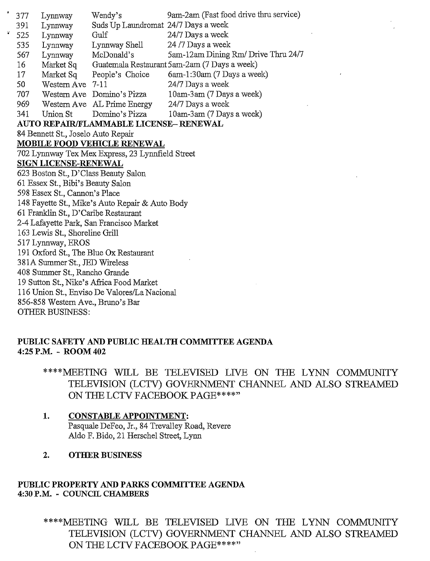| ۰  | 377                                          | Lynnway                            | Wendy's                                          | 9am-2am (Fast food drive thru service)       |  |
|----|----------------------------------------------|------------------------------------|--------------------------------------------------|----------------------------------------------|--|
|    | 391                                          | Lynnway                            | Suds Up Laundromat 24/7 Days a week              |                                              |  |
| Ŷ. | 525                                          | Lynnway                            | Gulf                                             | 24/7 Days a week                             |  |
|    | 535                                          | Lynnway                            | Lynnway Shell                                    | 24/7 Days a week                             |  |
|    | 567                                          | Lynnway                            | McDonald's                                       | 5am-12am Dining Rm/ Drive Thru 24/7          |  |
|    | 16 <sup>1</sup>                              | Market Sq                          |                                                  | Guatemala Restaurant 5am-2am (7 Days a week) |  |
|    | 17                                           | Market Sq                          | People's Choice                                  | 6am-1:30am (7 Days a week)                   |  |
|    | 50                                           | Western Ave 7-11                   |                                                  | 24/7 Days a week                             |  |
|    | 707                                          |                                    | Western Ave Domino's Pizza                       | 10am-3am (7 Days a week)                     |  |
|    | 969                                          |                                    | Western Ave AL Prime Energy                      | 24/7 Days a week                             |  |
|    | 341                                          | Union St                           | Domino's Pizza                                   | 10am-3am (7 Days a week)                     |  |
|    |                                              |                                    | AUTO REPAIR/FLAMMABLE LICENSE-RENEWAL            |                                              |  |
|    |                                              | 84 Bennett St., Joselo Auto Repair |                                                  |                                              |  |
|    |                                              |                                    | <u>MOBILE FOOD VEHICLE RENEWAL</u>               |                                              |  |
|    |                                              |                                    | 702 Lynnway Tex Mex Express, 23 Lynnfield Street |                                              |  |
|    | <b>SIGN LICENSE-RENEWAL</b>                  |                                    |                                                  |                                              |  |
|    | 623 Boston St., D'Class Beauty Salon         |                                    |                                                  |                                              |  |
|    | 61 Essex St., Bibi's Beauty Salon            |                                    |                                                  |                                              |  |
|    | 598 Essex St., Cannon's Place                |                                    |                                                  |                                              |  |
|    |                                              |                                    | 148 Fayette St., Mike's Auto Repair & Auto Body  |                                              |  |
|    |                                              |                                    | 61 Franklin St., D'Caribe Restaurant             |                                              |  |
|    | 2-4 Lafayette Park, San Francisco Market     |                                    |                                                  |                                              |  |
|    | 163 Lewis St., Shoreline Grill               |                                    |                                                  |                                              |  |
|    | 517 Lynnway, EROS                            |                                    |                                                  |                                              |  |
|    | 191 Oxford St., The Blue Ox Restaurant       |                                    |                                                  |                                              |  |
|    | 381A Summer St., JED Wireless                |                                    |                                                  |                                              |  |
|    | 408 Summer St., Rancho Grande                |                                    |                                                  |                                              |  |
|    | 19 Sutton St., Nike's Africa Food Market     |                                    |                                                  |                                              |  |
|    | 116 Union St., Enviso De Valores/La Nacional |                                    |                                                  |                                              |  |
|    | 856-858 Western Ave., Bruno's Bar            |                                    |                                                  |                                              |  |
|    | <b>OTHER BUSINESS:</b>                       |                                    |                                                  |                                              |  |
|    |                                              |                                    |                                                  |                                              |  |

### PUBLIC SAFETY AND PUBLIC HEALTH COMMITTEE AGENDA 4:25 P.M. - ROOM 402

\*\*\*\*MEETING WILL BE TELEVISED LIVE ON THE LYNN COMMUNITY TELEVISION (LCTV) GOVERNMENT CHANNEL AND ALSO STREAMED ON THE LCTV FACEBOOK PAGE\*\*\*\*"

- 1. CONSTABLE APPOINTMENT: Pasquale DeFeo, Jr., 84 Trevalley Road, Revere AIdo F. Bido, 21 Herschel Street, Lynn
- 2. OTHER BUSINESS

### PUBLIC PROPERTY AND PARKS COMMITTEE AGENDA 4:30 P.M. - COUNCIL CHAMBERS

\*\*\*\*MEETING WILL BE TELEVISED LIVE ON THE LYNN COMMUNITY TELEVISION (LCTV) GOVERNMENT CHANNEL AND ALSO STREAMED ON THE LCTV FACEBOOK PAGE\*\*\*\*"